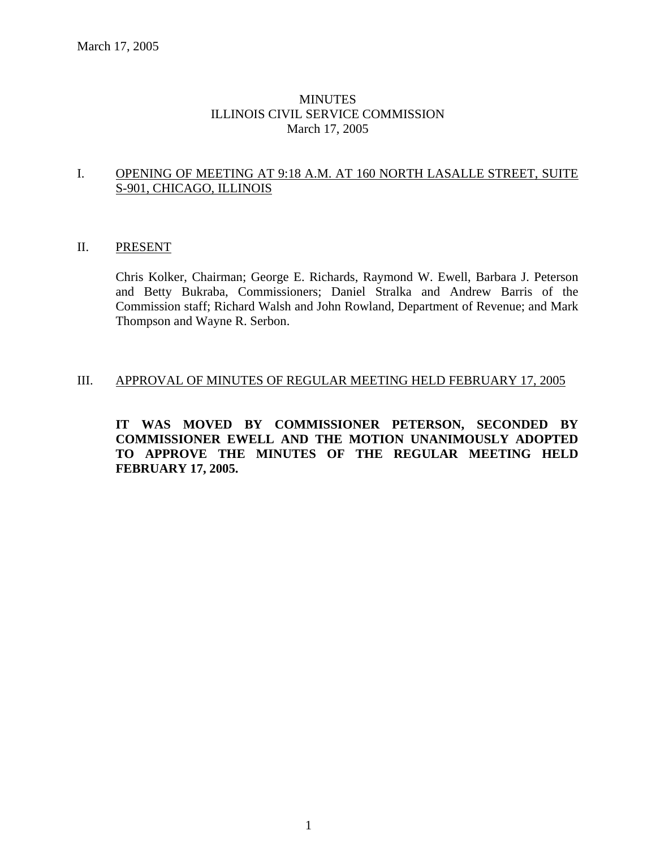### MINUTES ILLINOIS CIVIL SERVICE COMMISSION March 17, 2005

### I. OPENING OF MEETING AT 9:18 A.M. AT 160 NORTH LASALLE STREET, SUITE S-901, CHICAGO, ILLINOIS

### II. PRESENT

Chris Kolker, Chairman; George E. Richards, Raymond W. Ewell, Barbara J. Peterson and Betty Bukraba, Commissioners; Daniel Stralka and Andrew Barris of the Commission staff; Richard Walsh and John Rowland, Department of Revenue; and Mark Thompson and Wayne R. Serbon.

### III. APPROVAL OF MINUTES OF REGULAR MEETING HELD FEBRUARY 17, 2005

**IT WAS MOVED BY COMMISSIONER PETERSON, SECONDED BY COMMISSIONER EWELL AND THE MOTION UNANIMOUSLY ADOPTED TO APPROVE THE MINUTES OF THE REGULAR MEETING HELD FEBRUARY 17, 2005.**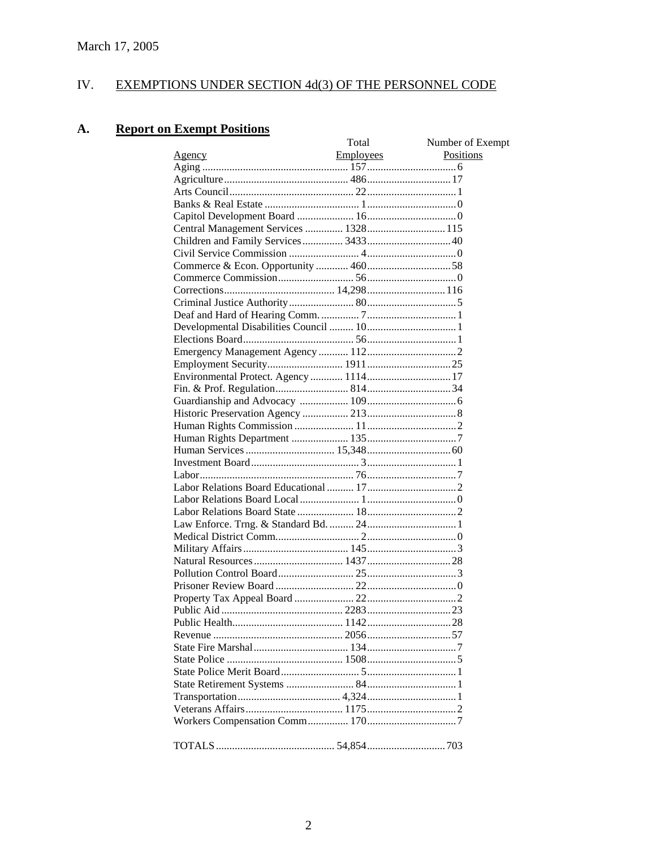#### IV. EXEMPTIONS UNDER SECTION 4d(3) OF THE PERSONNEL CODE

#### **Report on Exempt Positions A.**

|                                       | Total            | Number of Exempt |
|---------------------------------------|------------------|------------------|
| <u>Agency</u>                         | <b>Employees</b> | Positions        |
|                                       |                  |                  |
|                                       |                  |                  |
|                                       |                  |                  |
|                                       |                  |                  |
|                                       |                  |                  |
| Central Management Services  1328 115 |                  |                  |
|                                       |                  |                  |
|                                       |                  |                  |
|                                       |                  |                  |
|                                       |                  |                  |
|                                       |                  |                  |
|                                       |                  |                  |
|                                       |                  |                  |
|                                       |                  |                  |
|                                       |                  |                  |
|                                       |                  |                  |
|                                       |                  |                  |
|                                       |                  |                  |
|                                       |                  |                  |
|                                       |                  |                  |
|                                       |                  |                  |
|                                       |                  |                  |
|                                       |                  |                  |
|                                       |                  |                  |
|                                       |                  |                  |
|                                       |                  |                  |
|                                       |                  |                  |
|                                       |                  |                  |
|                                       |                  |                  |
|                                       |                  |                  |
|                                       |                  |                  |
|                                       |                  |                  |
|                                       |                  |                  |
|                                       |                  |                  |
|                                       |                  |                  |
|                                       |                  |                  |
|                                       |                  |                  |
|                                       |                  |                  |
|                                       |                  |                  |
|                                       |                  |                  |
|                                       |                  |                  |
|                                       |                  |                  |
|                                       |                  |                  |
|                                       |                  |                  |
|                                       |                  |                  |
|                                       |                  |                  |
|                                       |                  |                  |
|                                       |                  |                  |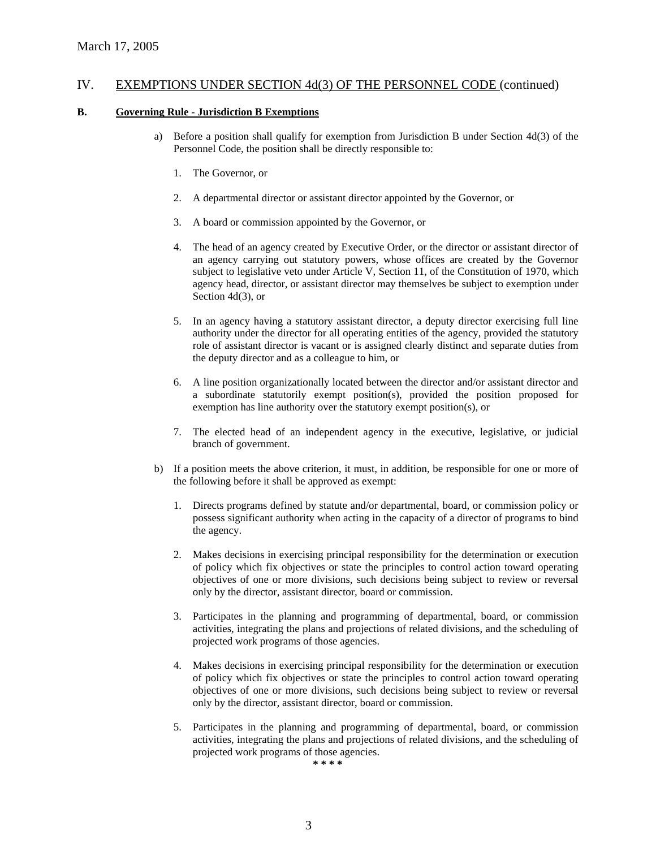### **B. Governing Rule - Jurisdiction B Exemptions**

- a) Before a position shall qualify for exemption from Jurisdiction B under Section 4d(3) of the Personnel Code, the position shall be directly responsible to:
	- 1. The Governor, or
	- 2. A departmental director or assistant director appointed by the Governor, or
	- 3. A board or commission appointed by the Governor, or
	- 4. The head of an agency created by Executive Order, or the director or assistant director of an agency carrying out statutory powers, whose offices are created by the Governor subject to legislative veto under Article V, Section 11, of the Constitution of 1970, which agency head, director, or assistant director may themselves be subject to exemption under Section 4d(3), or
	- 5. In an agency having a statutory assistant director, a deputy director exercising full line authority under the director for all operating entities of the agency, provided the statutory role of assistant director is vacant or is assigned clearly distinct and separate duties from the deputy director and as a colleague to him, or
	- 6. A line position organizationally located between the director and/or assistant director and a subordinate statutorily exempt position(s), provided the position proposed for exemption has line authority over the statutory exempt position(s), or
	- 7. The elected head of an independent agency in the executive, legislative, or judicial branch of government.
- b) If a position meets the above criterion, it must, in addition, be responsible for one or more of the following before it shall be approved as exempt:
	- 1. Directs programs defined by statute and/or departmental, board, or commission policy or possess significant authority when acting in the capacity of a director of programs to bind the agency.
	- 2. Makes decisions in exercising principal responsibility for the determination or execution of policy which fix objectives or state the principles to control action toward operating objectives of one or more divisions, such decisions being subject to review or reversal only by the director, assistant director, board or commission.
	- 3. Participates in the planning and programming of departmental, board, or commission activities, integrating the plans and projections of related divisions, and the scheduling of projected work programs of those agencies.
	- 4. Makes decisions in exercising principal responsibility for the determination or execution of policy which fix objectives or state the principles to control action toward operating objectives of one or more divisions, such decisions being subject to review or reversal only by the director, assistant director, board or commission.
	- 5. Participates in the planning and programming of departmental, board, or commission activities, integrating the plans and projections of related divisions, and the scheduling of projected work programs of those agencies.

**\* \* \* \***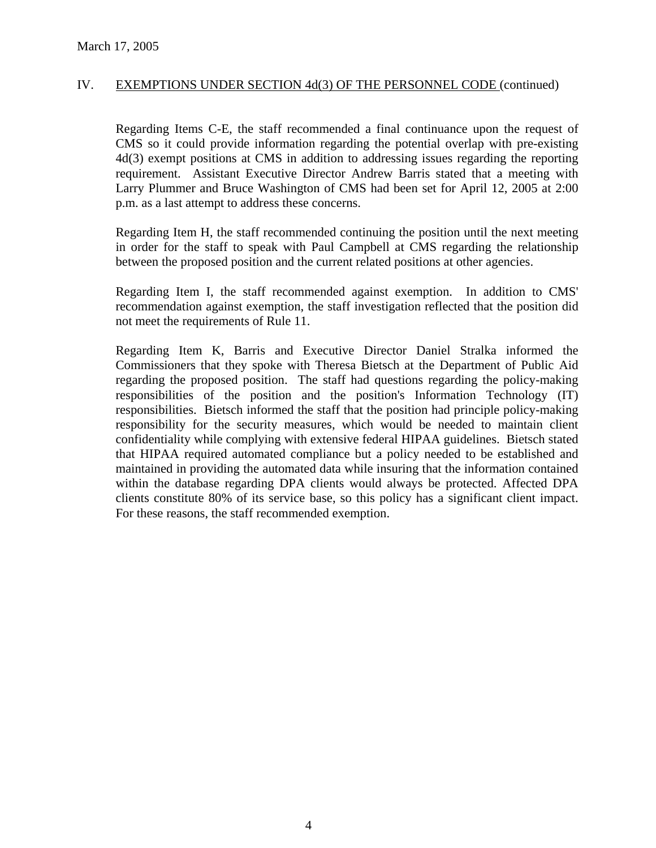Regarding Items C-E, the staff recommended a final continuance upon the request of CMS so it could provide information regarding the potential overlap with pre-existing 4d(3) exempt positions at CMS in addition to addressing issues regarding the reporting requirement. Assistant Executive Director Andrew Barris stated that a meeting with Larry Plummer and Bruce Washington of CMS had been set for April 12, 2005 at 2:00 p.m. as a last attempt to address these concerns.

Regarding Item H, the staff recommended continuing the position until the next meeting in order for the staff to speak with Paul Campbell at CMS regarding the relationship between the proposed position and the current related positions at other agencies.

Regarding Item I, the staff recommended against exemption. In addition to CMS' recommendation against exemption, the staff investigation reflected that the position did not meet the requirements of Rule 11.

Regarding Item K, Barris and Executive Director Daniel Stralka informed the Commissioners that they spoke with Theresa Bietsch at the Department of Public Aid regarding the proposed position. The staff had questions regarding the policy-making responsibilities of the position and the position's Information Technology (IT) responsibilities. Bietsch informed the staff that the position had principle policy-making responsibility for the security measures, which would be needed to maintain client confidentiality while complying with extensive federal HIPAA guidelines. Bietsch stated that HIPAA required automated compliance but a policy needed to be established and maintained in providing the automated data while insuring that the information contained within the database regarding DPA clients would always be protected. Affected DPA clients constitute 80% of its service base, so this policy has a significant client impact. For these reasons, the staff recommended exemption.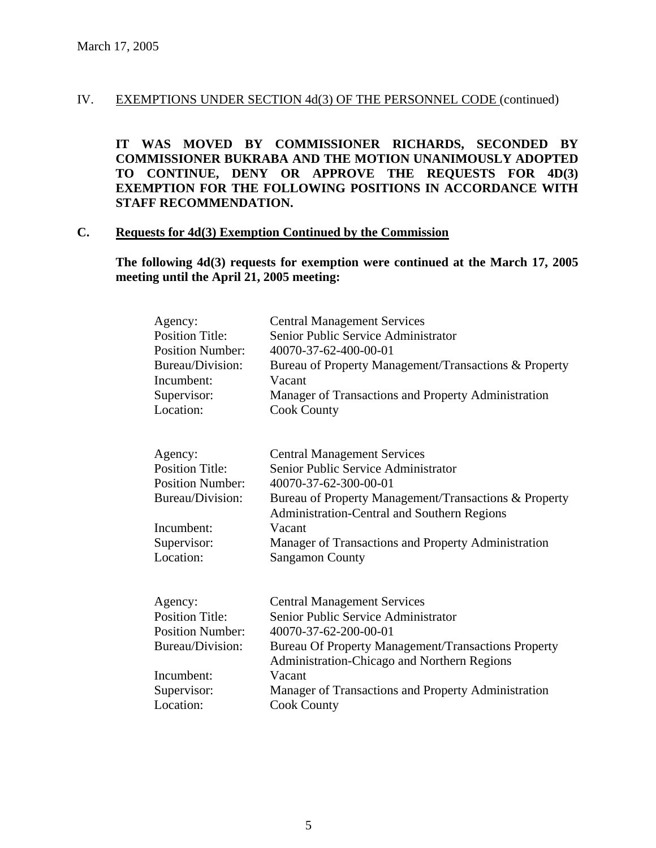**IT WAS MOVED BY COMMISSIONER RICHARDS, SECONDED BY COMMISSIONER BUKRABA AND THE MOTION UNANIMOUSLY ADOPTED TO CONTINUE, DENY OR APPROVE THE REQUESTS FOR 4D(3) EXEMPTION FOR THE FOLLOWING POSITIONS IN ACCORDANCE WITH STAFF RECOMMENDATION.** 

### **C. Requests for 4d(3) Exemption Continued by the Commission**

**The following 4d(3) requests for exemption were continued at the March 17, 2005 meeting until the April 21, 2005 meeting:** 

| Agency:                 | <b>Central Management Services</b>                                                                   |
|-------------------------|------------------------------------------------------------------------------------------------------|
| <b>Position Title:</b>  | Senior Public Service Administrator                                                                  |
| <b>Position Number:</b> | 40070-37-62-400-00-01                                                                                |
| Bureau/Division:        | Bureau of Property Management/Transactions & Property                                                |
| Incumbent:              | Vacant                                                                                               |
| Supervisor:             | Manager of Transactions and Property Administration                                                  |
| Location:               | <b>Cook County</b>                                                                                   |
| Agency:                 | <b>Central Management Services</b>                                                                   |
| <b>Position Title:</b>  | Senior Public Service Administrator                                                                  |
| <b>Position Number:</b> | 40070-37-62-300-00-01                                                                                |
| Bureau/Division:        | Bureau of Property Management/Transactions & Property<br>Administration-Central and Southern Regions |
| Incumbent:              | Vacant                                                                                               |
| Supervisor:             | Manager of Transactions and Property Administration                                                  |
| Location:               | <b>Sangamon County</b>                                                                               |
| Agency:                 | <b>Central Management Services</b>                                                                   |
| <b>Position Title:</b>  | Senior Public Service Administrator                                                                  |
| <b>Position Number:</b> | 40070-37-62-200-00-01                                                                                |
| Bureau/Division:        | <b>Bureau Of Property Management/Transactions Property</b>                                           |
|                         | Administration-Chicago and Northern Regions                                                          |
| Incumbent:              | Vacant                                                                                               |
| Supervisor:             | Manager of Transactions and Property Administration                                                  |
| Location:               | <b>Cook County</b>                                                                                   |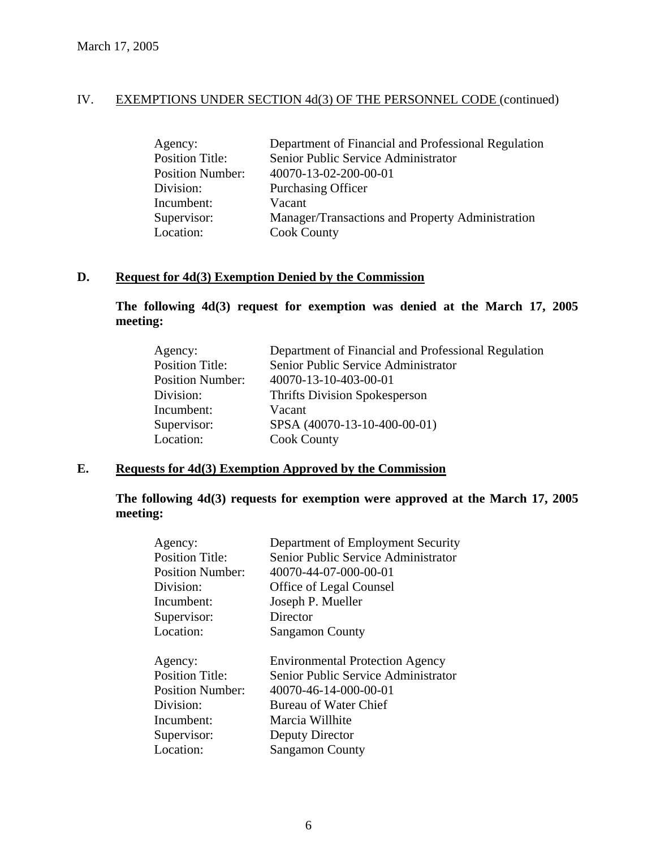| Agency:                 | Department of Financial and Professional Regulation |
|-------------------------|-----------------------------------------------------|
| <b>Position Title:</b>  | Senior Public Service Administrator                 |
| <b>Position Number:</b> | 40070-13-02-200-00-01                               |
| Division:               | <b>Purchasing Officer</b>                           |
| Incumbent:              | Vacant                                              |
| Supervisor:             | Manager/Transactions and Property Administration    |
| Location:               | <b>Cook County</b>                                  |

### **D. Request for 4d(3) Exemption Denied by the Commission**

**The following 4d(3) request for exemption was denied at the March 17, 2005 meeting:** 

| Agency:                 | Department of Financial and Professional Regulation |
|-------------------------|-----------------------------------------------------|
| <b>Position Title:</b>  | Senior Public Service Administrator                 |
| <b>Position Number:</b> | 40070-13-10-403-00-01                               |
| Division:               | <b>Thrifts Division Spokesperson</b>                |
| Incumbent:              | Vacant                                              |
| Supervisor:             | SPSA (40070-13-10-400-00-01)                        |
| Location:               | <b>Cook County</b>                                  |

## **E. Requests for 4d(3) Exemption Approved by the Commission**

## **The following 4d(3) requests for exemption were approved at the March 17, 2005 meeting:**

| Agency:   |                         | Department of Employment Security      |
|-----------|-------------------------|----------------------------------------|
|           | <b>Position Title:</b>  | Senior Public Service Administrator    |
|           | <b>Position Number:</b> | 40070-44-07-000-00-01                  |
| Division: |                         | <b>Office of Legal Counsel</b>         |
|           | Incumbent:              | Joseph P. Mueller                      |
|           | Supervisor:             | Director                               |
| Location: |                         | <b>Sangamon County</b>                 |
|           |                         |                                        |
| Agency:   |                         | <b>Environmental Protection Agency</b> |
|           |                         |                                        |
|           | <b>Position Title:</b>  | Senior Public Service Administrator    |
|           | <b>Position Number:</b> | 40070-46-14-000-00-01                  |
| Division: |                         | Bureau of Water Chief                  |
|           | Incumbent:              | Marcia Willhite                        |
|           | Supervisor:             | Deputy Director                        |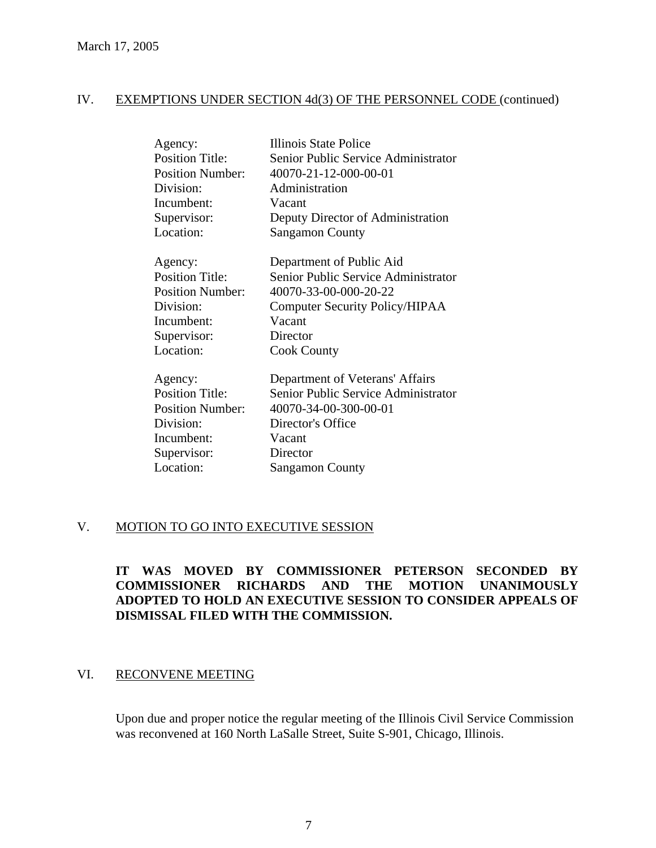| Agency:                 | <b>Illinois State Police</b>          |
|-------------------------|---------------------------------------|
| <b>Position Title:</b>  | Senior Public Service Administrator   |
| <b>Position Number:</b> | 40070-21-12-000-00-01                 |
| Division:               | Administration                        |
| Incumbent:              | Vacant                                |
| Supervisor:             | Deputy Director of Administration     |
| Location:               | <b>Sangamon County</b>                |
| Agency:                 | Department of Public Aid              |
| <b>Position Title:</b>  | Senior Public Service Administrator   |
| <b>Position Number:</b> | 40070-33-00-000-20-22                 |
| Division:               | <b>Computer Security Policy/HIPAA</b> |
| Incumbent:              | Vacant                                |
| Supervisor:             | Director                              |
| Location:               | <b>Cook County</b>                    |
| Agency:                 | Department of Veterans' Affairs       |
| <b>Position Title:</b>  | Senior Public Service Administrator   |
| <b>Position Number:</b> | 40070-34-00-300-00-01                 |
| Division:               | Director's Office                     |
| Incumbent:              | Vacant                                |
| Supervisor:             | Director                              |
| Location:               | <b>Sangamon County</b>                |
|                         |                                       |

### V. MOTION TO GO INTO EXECUTIVE SESSION

## **IT WAS MOVED BY COMMISSIONER PETERSON SECONDED BY COMMISSIONER RICHARDS AND THE MOTION UNANIMOUSLY ADOPTED TO HOLD AN EXECUTIVE SESSION TO CONSIDER APPEALS OF DISMISSAL FILED WITH THE COMMISSION.**

### VI. RECONVENE MEETING

Upon due and proper notice the regular meeting of the Illinois Civil Service Commission was reconvened at 160 North LaSalle Street, Suite S-901, Chicago, Illinois.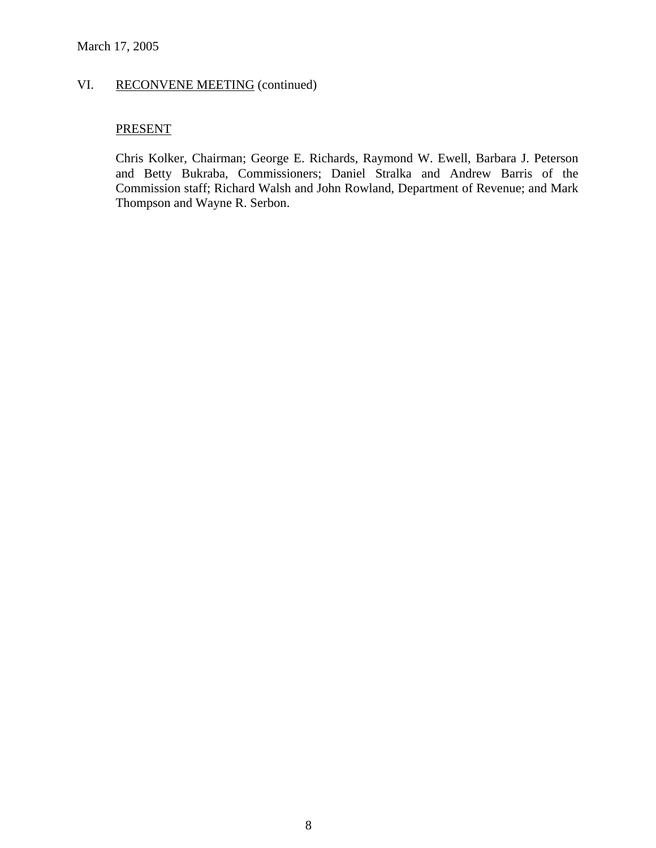## VI. RECONVENE MEETING (continued)

### **PRESENT**

Chris Kolker, Chairman; George E. Richards, Raymond W. Ewell, Barbara J. Peterson and Betty Bukraba, Commissioners; Daniel Stralka and Andrew Barris of the Commission staff; Richard Walsh and John Rowland, Department of Revenue; and Mark Thompson and Wayne R. Serbon.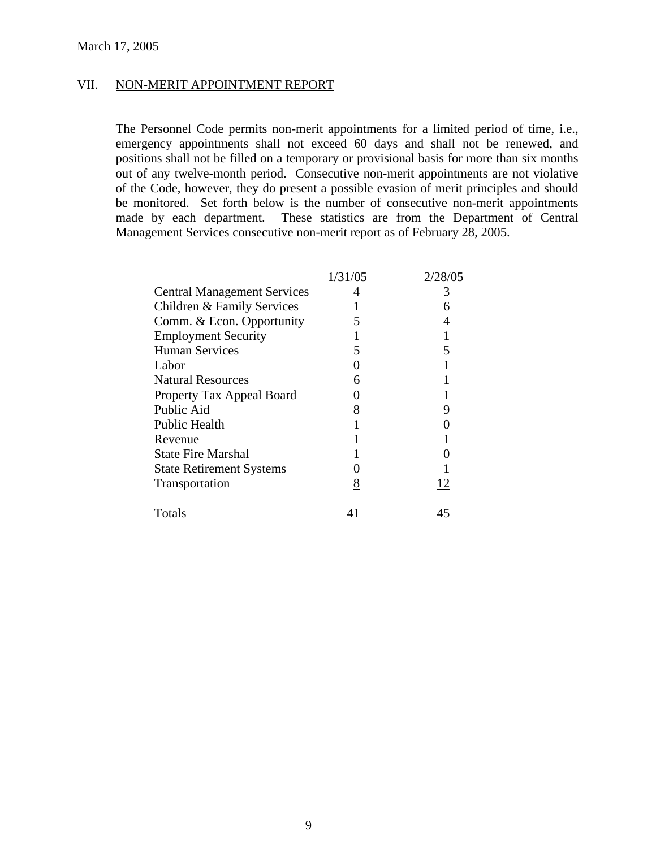### VII. NON-MERIT APPOINTMENT REPORT

The Personnel Code permits non-merit appointments for a limited period of time, i.e., emergency appointments shall not exceed 60 days and shall not be renewed, and positions shall not be filled on a temporary or provisional basis for more than six months out of any twelve-month period. Consecutive non-merit appointments are not violative of the Code, however, they do present a possible evasion of merit principles and should be monitored. Set forth below is the number of consecutive non-merit appointments made by each department. These statistics are from the Department of Central Management Services consecutive non-merit report as of February 28, 2005.

|                                    | 1/31/05 | 2/28/05 |
|------------------------------------|---------|---------|
| <b>Central Management Services</b> |         | 3       |
| Children & Family Services         |         |         |
| Comm. & Econ. Opportunity          |         |         |
| <b>Employment Security</b>         |         |         |
| <b>Human Services</b>              |         |         |
| Labor                              |         |         |
| <b>Natural Resources</b>           |         |         |
| Property Tax Appeal Board          |         |         |
| Public Aid                         |         |         |
| <b>Public Health</b>               |         |         |
| Revenue                            |         |         |
| <b>State Fire Marshal</b>          |         |         |
| <b>State Retirement Systems</b>    |         |         |
| Transportation                     | 8       | 12      |
| Totals                             |         | 45      |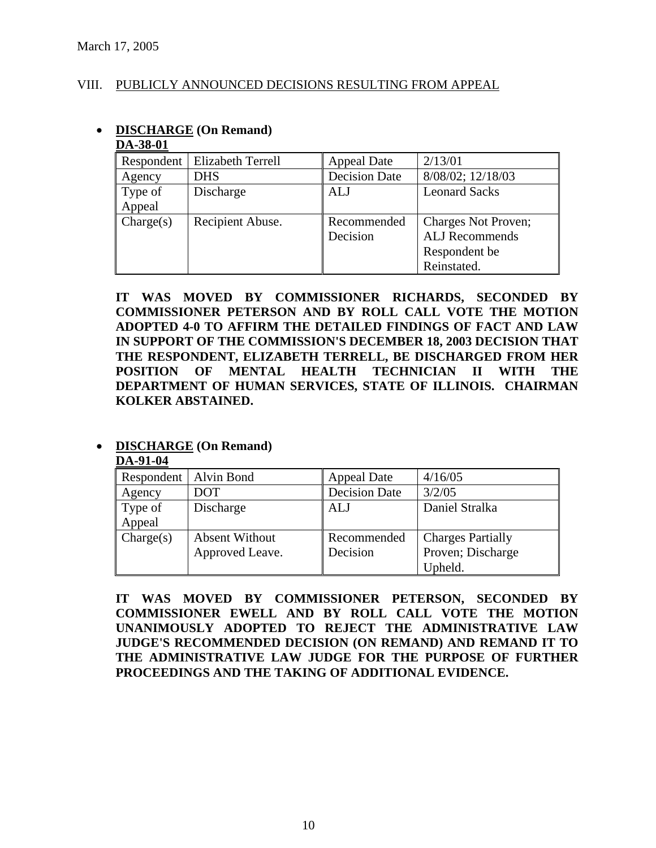### VIII. PUBLICLY ANNOUNCED DECISIONS RESULTING FROM APPEAL

| DA-90-V1   |                          |                      |                       |
|------------|--------------------------|----------------------|-----------------------|
| Respondent | <b>Elizabeth Terrell</b> | <b>Appeal Date</b>   | 2/13/01               |
| Agency     | <b>DHS</b>               | <b>Decision Date</b> | 8/08/02; 12/18/03     |
| Type of    | Discharge                | ALJ                  | <b>Leonard Sacks</b>  |
| Appeal     |                          |                      |                       |
| Change(s)  | Recipient Abuse.         | Recommended          | Charges Not Proven;   |
|            |                          | Decision             | <b>ALJ</b> Recommends |
|            |                          |                      | Respondent be         |
|            |                          |                      | Reinstated.           |

#### • **DISCHARGE (On Remand) DA-38-01**

**IT WAS MOVED BY COMMISSIONER RICHARDS, SECONDED BY COMMISSIONER PETERSON AND BY ROLL CALL VOTE THE MOTION ADOPTED 4-0 TO AFFIRM THE DETAILED FINDINGS OF FACT AND LAW IN SUPPORT OF THE COMMISSION'S DECEMBER 18, 2003 DECISION THAT THE RESPONDENT, ELIZABETH TERRELL, BE DISCHARGED FROM HER POSITION OF MENTAL HEALTH TECHNICIAN II WITH THE DEPARTMENT OF HUMAN SERVICES, STATE OF ILLINOIS. CHAIRMAN KOLKER ABSTAINED.** 

### • **DISCHARGE (On Remand)**

**DA-91-04**

| Respondent   Alvin Bond |                       | <b>Appeal Date</b>   | 4/16/05                  |
|-------------------------|-----------------------|----------------------|--------------------------|
| Agency                  | DOT                   | <b>Decision Date</b> | 3/2/05                   |
| Type of                 | Discharge             | ALJ                  | Daniel Stralka           |
| Appeal                  |                       |                      |                          |
| Change(s)               | <b>Absent Without</b> | Recommended          | <b>Charges Partially</b> |
|                         | Approved Leave.       | Decision             | Proven; Discharge        |
|                         |                       |                      | Upheld.                  |

**IT WAS MOVED BY COMMISSIONER PETERSON, SECONDED BY COMMISSIONER EWELL AND BY ROLL CALL VOTE THE MOTION UNANIMOUSLY ADOPTED TO REJECT THE ADMINISTRATIVE LAW JUDGE'S RECOMMENDED DECISION (ON REMAND) AND REMAND IT TO THE ADMINISTRATIVE LAW JUDGE FOR THE PURPOSE OF FURTHER PROCEEDINGS AND THE TAKING OF ADDITIONAL EVIDENCE.**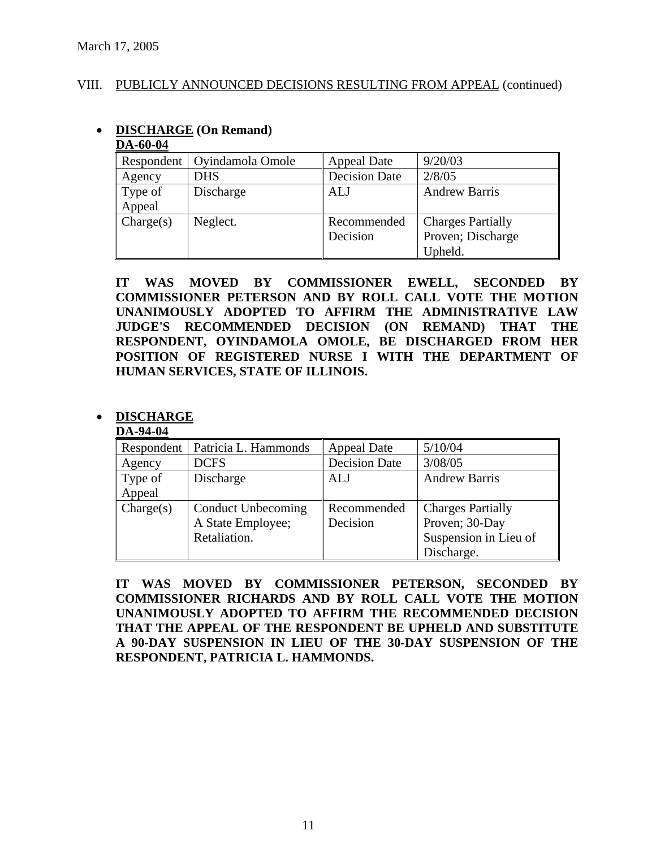• **DISCHARGE (On Remand)** 

### VIII. PUBLICLY ANNOUNCED DECISIONS RESULTING FROM APPEAL (continued)

| DA-60-04          |                  |                         |                                                          |  |
|-------------------|------------------|-------------------------|----------------------------------------------------------|--|
| Respondent        | Oyindamola Omole | Appeal Date             | 9/20/03                                                  |  |
| Agency            | <b>DHS</b>       | Decision Date           | 2/8/05                                                   |  |
| Type of<br>Appeal | Discharge        | <b>ALJ</b>              | <b>Andrew Barris</b>                                     |  |
| Change(s)         | Neglect.         | Recommended<br>Decision | <b>Charges Partially</b><br>Proven; Discharge<br>Upheld. |  |

### **IT WAS MOVED BY COMMISSIONER EWELL, SECONDED BY COMMISSIONER PETERSON AND BY ROLL CALL VOTE THE MOTION UNANIMOUSLY ADOPTED TO AFFIRM THE ADMINISTRATIVE LAW JUDGE'S RECOMMENDED DECISION (ON REMAND) THAT THE RESPONDENT, OYINDAMOLA OMOLE, BE DISCHARGED FROM HER POSITION OF REGISTERED NURSE I WITH THE DEPARTMENT OF HUMAN SERVICES, STATE OF ILLINOIS.**

## • **DISCHARGE**

### **DA-94-04**

| Respondent | Patricia L. Hammonds      | <b>Appeal Date</b>   | 5/10/04                  |
|------------|---------------------------|----------------------|--------------------------|
| Agency     | <b>DCFS</b>               | <b>Decision Date</b> | 3/08/05                  |
| Type of    | Discharge                 | <b>ALJ</b>           | <b>Andrew Barris</b>     |
| Appeal     |                           |                      |                          |
| Change(s)  | <b>Conduct Unbecoming</b> | Recommended          | <b>Charges Partially</b> |
|            | A State Employee;         | Decision             | Proven; 30-Day           |
|            | Retaliation.              |                      | Suspension in Lieu of    |
|            |                           |                      | Discharge.               |

**IT WAS MOVED BY COMMISSIONER PETERSON, SECONDED BY COMMISSIONER RICHARDS AND BY ROLL CALL VOTE THE MOTION UNANIMOUSLY ADOPTED TO AFFIRM THE RECOMMENDED DECISION THAT THE APPEAL OF THE RESPONDENT BE UPHELD AND SUBSTITUTE A 90-DAY SUSPENSION IN LIEU OF THE 30-DAY SUSPENSION OF THE RESPONDENT, PATRICIA L. HAMMONDS.**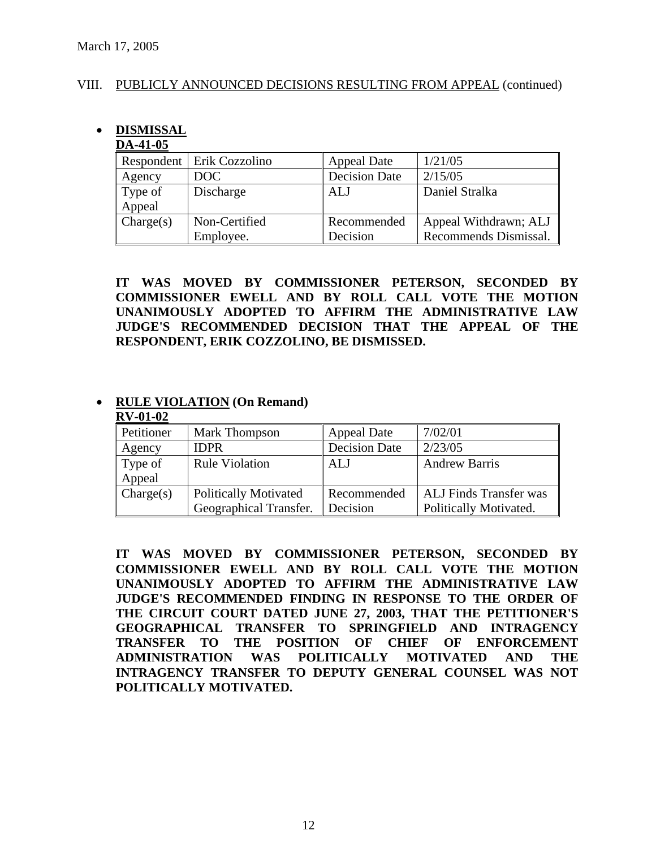### VIII. PUBLICLY ANNOUNCED DECISIONS RESULTING FROM APPEAL (continued)

## • **DISMISSAL**

### **DA-41-05**

|           | Respondent   Erik Cozzolino | <b>Appeal Date</b>   | 1/21/05               |
|-----------|-----------------------------|----------------------|-----------------------|
| Agency    | DOC                         | <b>Decision Date</b> | 2/15/05               |
| Type of   | Discharge                   | ALJ                  | Daniel Stralka        |
| Appeal    |                             |                      |                       |
| Change(s) | Non-Certified               | Recommended          | Appeal Withdrawn; ALJ |
|           | Employee.                   | Decision             | Recommends Dismissal. |

**IT WAS MOVED BY COMMISSIONER PETERSON, SECONDED BY COMMISSIONER EWELL AND BY ROLL CALL VOTE THE MOTION UNANIMOUSLY ADOPTED TO AFFIRM THE ADMINISTRATIVE LAW JUDGE'S RECOMMENDED DECISION THAT THE APPEAL OF THE RESPONDENT, ERIK COZZOLINO, BE DISMISSED.** 

#### • **RULE VIOLATION (On Remand) RV-01-02**

| Petitioner        | <b>Mark Thompson</b>                                   | <b>Appeal Date</b>      | 7/02/01                                                 |
|-------------------|--------------------------------------------------------|-------------------------|---------------------------------------------------------|
| Agency            | <b>IDPR</b>                                            | <b>Decision Date</b>    | 2/23/05                                                 |
| Type of<br>Appeal | <b>Rule Violation</b>                                  | <b>ALJ</b>              | <b>Andrew Barris</b>                                    |
| Change(s)         | <b>Politically Motivated</b><br>Geographical Transfer. | Recommended<br>Decision | <b>ALJ</b> Finds Transfer was<br>Politically Motivated. |

**IT WAS MOVED BY COMMISSIONER PETERSON, SECONDED BY COMMISSIONER EWELL AND BY ROLL CALL VOTE THE MOTION UNANIMOUSLY ADOPTED TO AFFIRM THE ADMINISTRATIVE LAW JUDGE'S RECOMMENDED FINDING IN RESPONSE TO THE ORDER OF THE CIRCUIT COURT DATED JUNE 27, 2003, THAT THE PETITIONER'S GEOGRAPHICAL TRANSFER TO SPRINGFIELD AND INTRAGENCY TRANSFER TO THE POSITION OF CHIEF OF ENFORCEMENT ADMINISTRATION WAS POLITICALLY MOTIVATED AND THE INTRAGENCY TRANSFER TO DEPUTY GENERAL COUNSEL WAS NOT POLITICALLY MOTIVATED.**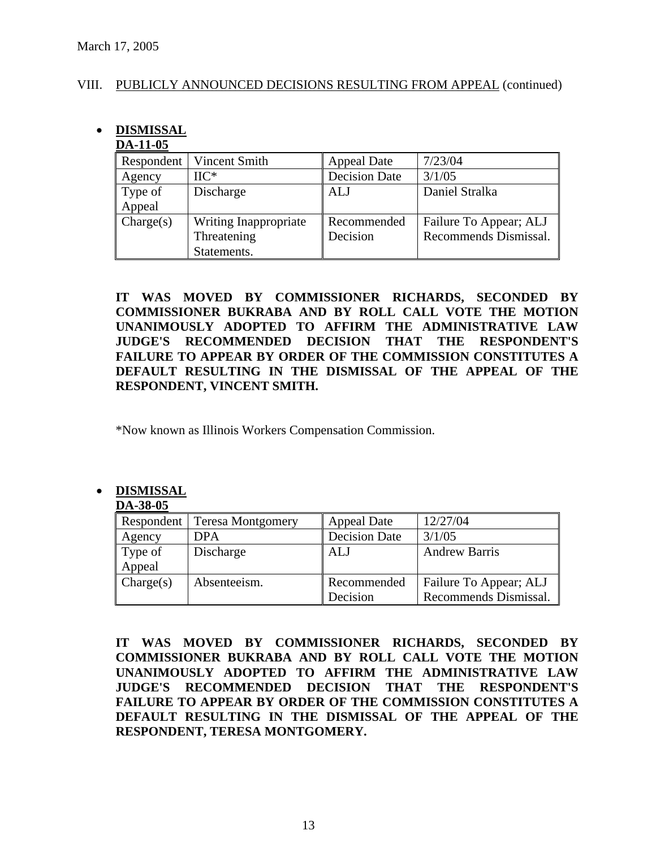### VIII. PUBLICLY ANNOUNCED DECISIONS RESULTING FROM APPEAL (continued)

# • **DISMISSAL**

### **DA-11-05**

| Respondent | Vincent Smith         | <b>Appeal Date</b>   | 7/23/04                |
|------------|-----------------------|----------------------|------------------------|
| Agency     | $\rm{HC^*}$           | <b>Decision Date</b> | 3/1/05                 |
| Type of    | Discharge             | <b>ALJ</b>           | Daniel Stralka         |
| Appeal     |                       |                      |                        |
| Change(s)  | Writing Inappropriate | Recommended          | Failure To Appear; ALJ |
|            | Threatening           | Decision             | Recommends Dismissal.  |
|            | Statements.           |                      |                        |

**IT WAS MOVED BY COMMISSIONER RICHARDS, SECONDED BY COMMISSIONER BUKRABA AND BY ROLL CALL VOTE THE MOTION UNANIMOUSLY ADOPTED TO AFFIRM THE ADMINISTRATIVE LAW JUDGE'S RECOMMENDED DECISION THAT THE RESPONDENT'S FAILURE TO APPEAR BY ORDER OF THE COMMISSION CONSTITUTES A DEFAULT RESULTING IN THE DISMISSAL OF THE APPEAL OF THE RESPONDENT, VINCENT SMITH.** 

\*Now known as Illinois Workers Compensation Commission.

## • **DISMISSAL**

| DA-38-05  |                                |                      |                        |
|-----------|--------------------------------|----------------------|------------------------|
|           | Respondent   Teresa Montgomery | <b>Appeal Date</b>   | 12/27/04               |
| Agency    | <b>DPA</b>                     | <b>Decision Date</b> | 3/1/05                 |
| Type of   | Discharge                      | <b>ALJ</b>           | <b>Andrew Barris</b>   |
| Appeal    |                                |                      |                        |
| Change(s) | Absenteeism.                   | Recommended          | Failure To Appear; ALJ |
|           |                                | Decision             | Recommends Dismissal.  |

### **IT WAS MOVED BY COMMISSIONER RICHARDS, SECONDED BY COMMISSIONER BUKRABA AND BY ROLL CALL VOTE THE MOTION UNANIMOUSLY ADOPTED TO AFFIRM THE ADMINISTRATIVE LAW JUDGE'S RECOMMENDED DECISION THAT THE RESPONDENT'S FAILURE TO APPEAR BY ORDER OF THE COMMISSION CONSTITUTES A DEFAULT RESULTING IN THE DISMISSAL OF THE APPEAL OF THE RESPONDENT, TERESA MONTGOMERY.**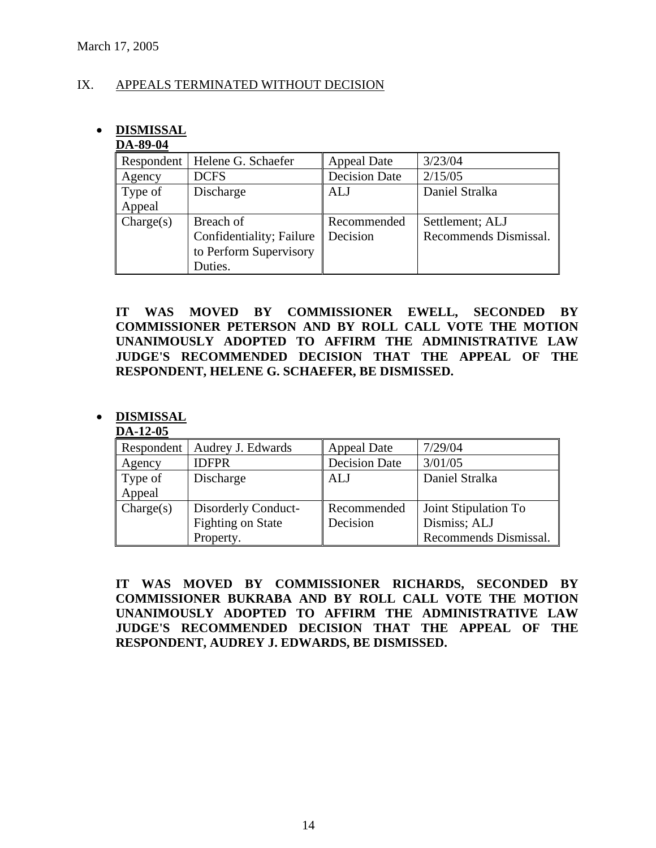### IX. APPEALS TERMINATED WITHOUT DECISION

## • **DISMISSAL**

### **DA-89-04**

| Respondent | Helene G. Schaefer       | <b>Appeal Date</b>   | 3/23/04               |
|------------|--------------------------|----------------------|-----------------------|
| Agency     | <b>DCFS</b>              | <b>Decision Date</b> | 2/15/05               |
| Type of    | Discharge                | ALJ                  | Daniel Stralka        |
| Appeal     |                          |                      |                       |
| Change(s)  | Breach of                | Recommended          | Settlement; ALJ       |
|            | Confidentiality; Failure | Decision             | Recommends Dismissal. |
|            | to Perform Supervisory   |                      |                       |
|            | Duties.                  |                      |                       |

**IT WAS MOVED BY COMMISSIONER EWELL, SECONDED BY COMMISSIONER PETERSON AND BY ROLL CALL VOTE THE MOTION UNANIMOUSLY ADOPTED TO AFFIRM THE ADMINISTRATIVE LAW JUDGE'S RECOMMENDED DECISION THAT THE APPEAL OF THE RESPONDENT, HELENE G. SCHAEFER, BE DISMISSED.** 

### • **DISMISSAL**

### **DA-12-05**

| Respondent | Audrey J. Edwards        | <b>Appeal Date</b>   | 7/29/04               |
|------------|--------------------------|----------------------|-----------------------|
| Agency     | <b>IDFPR</b>             | <b>Decision Date</b> | 3/01/05               |
| Type of    | Discharge                | <b>ALJ</b>           | Daniel Stralka        |
| Appeal     |                          |                      |                       |
| Change(s)  | Disorderly Conduct-      | Recommended          | Joint Stipulation To  |
|            | <b>Fighting on State</b> | Decision             | Dismiss; ALJ          |
|            | Property.                |                      | Recommends Dismissal. |

**IT WAS MOVED BY COMMISSIONER RICHARDS, SECONDED BY COMMISSIONER BUKRABA AND BY ROLL CALL VOTE THE MOTION UNANIMOUSLY ADOPTED TO AFFIRM THE ADMINISTRATIVE LAW JUDGE'S RECOMMENDED DECISION THAT THE APPEAL OF THE RESPONDENT, AUDREY J. EDWARDS, BE DISMISSED.**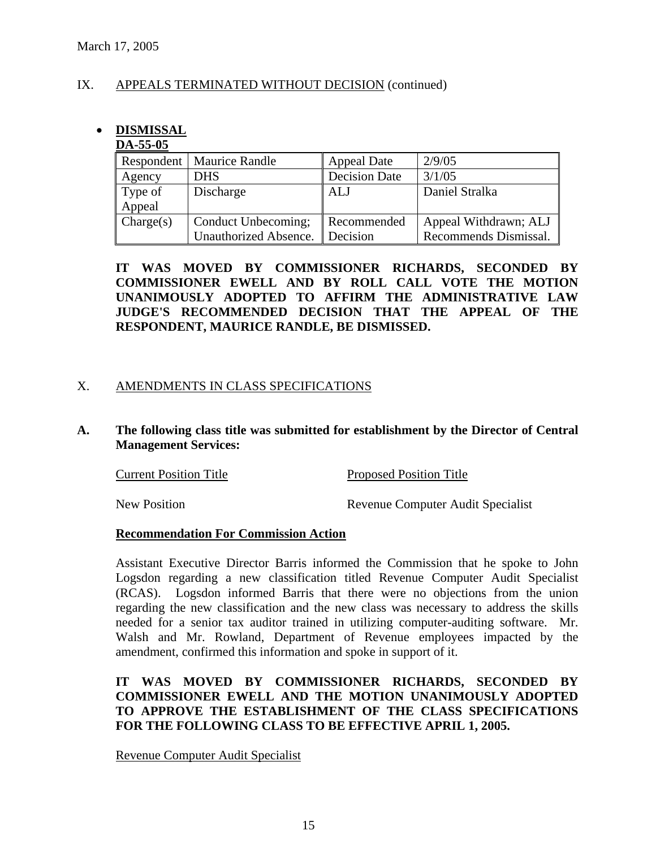### IX. APPEALS TERMINATED WITHOUT DECISION (continued)

# • **DISMISSAL**

### **DA-55-05**

|           | Respondent   Maurice Randle | <b>Appeal Date</b>   | 2/9/05                |
|-----------|-----------------------------|----------------------|-----------------------|
| Agency    | <b>DHS</b>                  | <b>Decision Date</b> | 3/1/05                |
| Type of   | Discharge                   | ALJ                  | Daniel Stralka        |
| Appeal    |                             |                      |                       |
| Change(s) | Conduct Unbecoming;         | Recommended          | Appeal Withdrawn; ALJ |
|           | Unauthorized Absence.       | Decision             | Recommends Dismissal. |

**IT WAS MOVED BY COMMISSIONER RICHARDS, SECONDED BY COMMISSIONER EWELL AND BY ROLL CALL VOTE THE MOTION UNANIMOUSLY ADOPTED TO AFFIRM THE ADMINISTRATIVE LAW JUDGE'S RECOMMENDED DECISION THAT THE APPEAL OF THE RESPONDENT, MAURICE RANDLE, BE DISMISSED.** 

### X. AMENDMENTS IN CLASS SPECIFICATIONS

### **A. The following class title was submitted for establishment by the Director of Central Management Services:**

Current Position Title Proposed Position Title

New Position Revenue Computer Audit Specialist

### **Recommendation For Commission Action**

Assistant Executive Director Barris informed the Commission that he spoke to John Logsdon regarding a new classification titled Revenue Computer Audit Specialist (RCAS). Logsdon informed Barris that there were no objections from the union regarding the new classification and the new class was necessary to address the skills needed for a senior tax auditor trained in utilizing computer-auditing software. Mr. Walsh and Mr. Rowland, Department of Revenue employees impacted by the amendment, confirmed this information and spoke in support of it.

### **IT WAS MOVED BY COMMISSIONER RICHARDS, SECONDED BY COMMISSIONER EWELL AND THE MOTION UNANIMOUSLY ADOPTED TO APPROVE THE ESTABLISHMENT OF THE CLASS SPECIFICATIONS FOR THE FOLLOWING CLASS TO BE EFFECTIVE APRIL 1, 2005.**

Revenue Computer Audit Specialist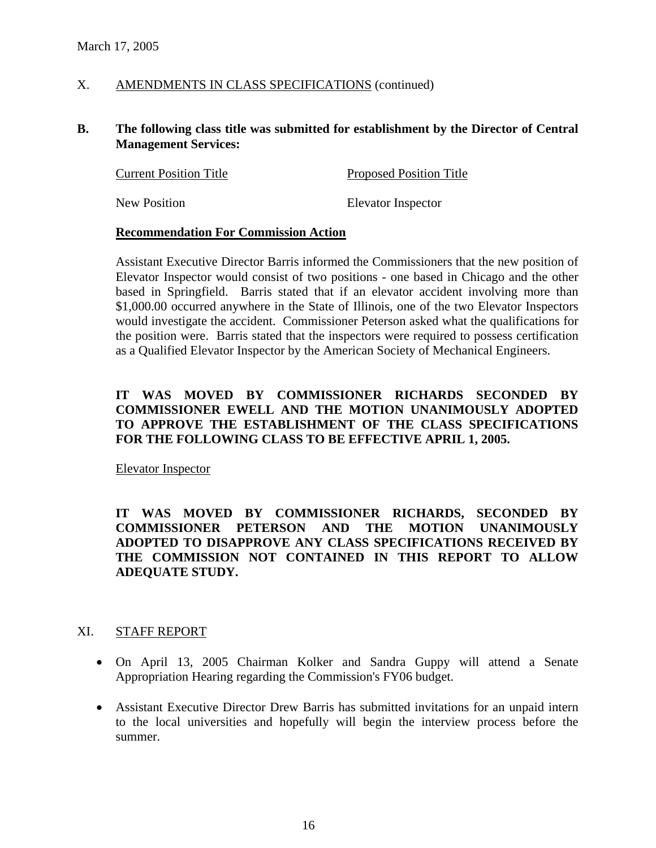### X. AMENDMENTS IN CLASS SPECIFICATIONS (continued)

### **B. The following class title was submitted for establishment by the Director of Central Management Services:**

| <b>Current Position Title</b> | <b>Proposed Position Title</b> |
|-------------------------------|--------------------------------|
| <b>New Position</b>           | Elevator Inspector             |

### **Recommendation For Commission Action**

Assistant Executive Director Barris informed the Commissioners that the new position of Elevator Inspector would consist of two positions - one based in Chicago and the other based in Springfield. Barris stated that if an elevator accident involving more than \$1,000.00 occurred anywhere in the State of Illinois, one of the two Elevator Inspectors would investigate the accident. Commissioner Peterson asked what the qualifications for the position were. Barris stated that the inspectors were required to possess certification as a Qualified Elevator Inspector by the American Society of Mechanical Engineers.

### **IT WAS MOVED BY COMMISSIONER RICHARDS SECONDED BY COMMISSIONER EWELL AND THE MOTION UNANIMOUSLY ADOPTED TO APPROVE THE ESTABLISHMENT OF THE CLASS SPECIFICATIONS FOR THE FOLLOWING CLASS TO BE EFFECTIVE APRIL 1, 2005.**

Elevator Inspector

**IT WAS MOVED BY COMMISSIONER RICHARDS, SECONDED BY COMMISSIONER PETERSON AND THE MOTION UNANIMOUSLY ADOPTED TO DISAPPROVE ANY CLASS SPECIFICATIONS RECEIVED BY THE COMMISSION NOT CONTAINED IN THIS REPORT TO ALLOW ADEQUATE STUDY.** 

### XI. STAFF REPORT

- On April 13, 2005 Chairman Kolker and Sandra Guppy will attend a Senate Appropriation Hearing regarding the Commission's FY06 budget.
- Assistant Executive Director Drew Barris has submitted invitations for an unpaid intern to the local universities and hopefully will begin the interview process before the summer.